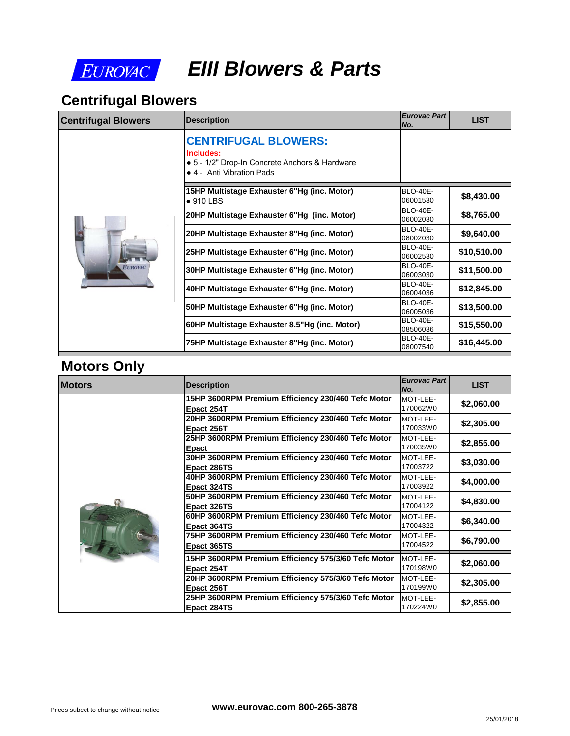

# *EIII Blowers & Parts*

### **Centrifugal Blowers**

| <b>CENTRIFUGAL BLOWERS:</b><br>Includes:<br>• 5 - 1/2" Drop-In Concrete Anchors & Hardware<br>• 4 - Anti Vibration Pads<br>15HP Multistage Exhauster 6"Hg (inc. Motor)<br><b>BLO-40E-</b><br>06001530<br>$\bullet$ 910 LBS<br><b>BLO-40E-</b><br>20HP Multistage Exhauster 6"Hg (inc. Motor)<br>06002030<br><b>BLO-40E-</b><br>20HP Multistage Exhauster 8"Hg (inc. Motor)<br>08002030<br><b>BLO-40E-</b><br>25HP Multistage Exhauster 6"Hg (inc. Motor)<br>06002530<br><b>BLO-40E-</b><br><b>EUROVAC</b> | <b>Centrifugal Blowers</b> | <b>Description</b>                          | <b>Eurovac Part</b><br>No. |
|-----------------------------------------------------------------------------------------------------------------------------------------------------------------------------------------------------------------------------------------------------------------------------------------------------------------------------------------------------------------------------------------------------------------------------------------------------------------------------------------------------------|----------------------------|---------------------------------------------|----------------------------|
|                                                                                                                                                                                                                                                                                                                                                                                                                                                                                                           |                            |                                             |                            |
|                                                                                                                                                                                                                                                                                                                                                                                                                                                                                                           |                            |                                             |                            |
|                                                                                                                                                                                                                                                                                                                                                                                                                                                                                                           |                            |                                             |                            |
|                                                                                                                                                                                                                                                                                                                                                                                                                                                                                                           |                            |                                             |                            |
|                                                                                                                                                                                                                                                                                                                                                                                                                                                                                                           |                            |                                             |                            |
| 06003030                                                                                                                                                                                                                                                                                                                                                                                                                                                                                                  |                            | 30HP Multistage Exhauster 6"Hg (inc. Motor) |                            |
| <b>BLO-40E-</b><br>40HP Multistage Exhauster 6"Hg (inc. Motor)<br>06004036                                                                                                                                                                                                                                                                                                                                                                                                                                |                            |                                             |                            |
| <b>BLO-40E-</b><br>50HP Multistage Exhauster 6"Hg (inc. Motor)<br>06005036                                                                                                                                                                                                                                                                                                                                                                                                                                |                            |                                             |                            |
| <b>BLO-40E-</b><br>60HP Multistage Exhauster 8.5"Hg (inc. Motor)<br>08506036                                                                                                                                                                                                                                                                                                                                                                                                                              |                            |                                             |                            |
| <b>BLO-40E-</b><br>75HP Multistage Exhauster 8"Hg (inc. Motor)<br>08007540                                                                                                                                                                                                                                                                                                                                                                                                                                |                            |                                             |                            |

#### **Motors Only**

| <b>Motors</b> | <b>Description</b>                                                 | <b>Eurovac Part</b><br>No. |
|---------------|--------------------------------------------------------------------|----------------------------|
|               | 15HP 3600RPM Premium Efficiency 230/460 Tefc Motor<br>Epact 254T   | MOT-LEE-<br>170062W0       |
|               | 20HP 3600RPM Premium Efficiency 230/460 Tefc Motor<br>Epact 256T   | MOT-LEE-<br>170033W0       |
|               | 25HP 3600RPM Premium Efficiency 230/460 Tefc Motor<br>Epact        | MOT-LEE-<br>170035W0       |
|               | 30HP 3600RPM Premium Efficiency 230/460 Tefc Motor<br>Epact 286TS  | MOT-LEE-<br>17003722       |
|               | 40HP 3600RPM Premium Efficiency 230/460 Tefc Motor<br>Epact 324TS  | MOT-LEE-<br>17003922       |
|               | 50HP 3600RPM Premium Efficiency 230/460 Tefc Motor<br>Epact 326TS  | MOT-LEE-<br>17004122       |
|               | 60HP 3600RPM Premium Efficiency 230/460 Tefc Motor<br>Epact 364TS  | MOT-LEE-<br>17004322       |
|               | 75HP 3600RPM Premium Efficiency 230/460 Tefc Motor<br>Epact 365TS  | MOT-LEE-<br>17004522       |
|               | 15HP 3600RPM Premium Efficiency 575/3/60 Tefc Motor<br>Epact 254T  | MOT-LEE-<br>170198W0       |
|               | 20HP 3600RPM Premium Efficiency 575/3/60 Tefc Motor<br>Epact 256T  | MOT-LEE-<br>170199W0       |
|               | 25HP 3600RPM Premium Efficiency 575/3/60 Tefc Motor<br>Epact 284TS | MOT-LEE-<br>170224W0       |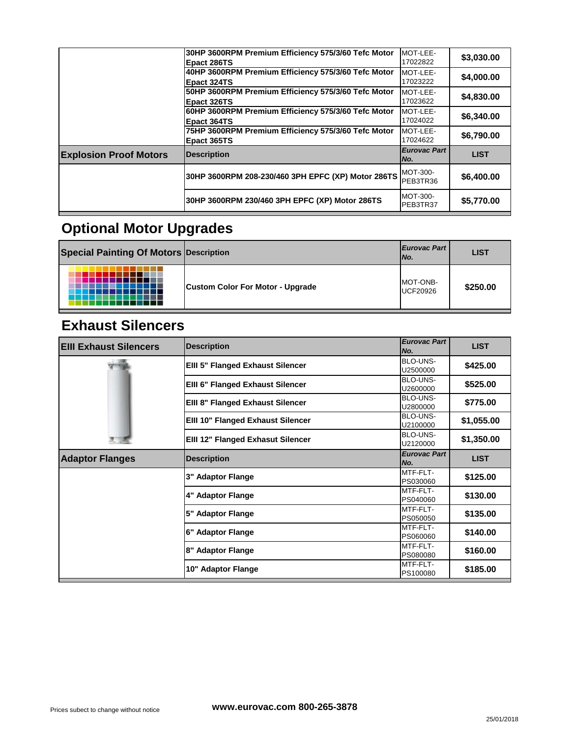| MOT-LEE-<br>17024022<br>Epact 364TS<br>75HP 3600RPM Premium Efficiency 575/3/60 Tefc Motor<br>MOT-LEE-<br>17024622<br>Epact 365TS<br><b>Eurovac Part</b><br><b>Explosion Proof Motors</b><br><b>Description</b><br>INo.<br>MOT-300-<br>30HP 3600RPM 208-230/460 3PH EPFC (XP) Motor 286TS<br>PEB3TR36<br>MOT-300-<br>30HP 3600RPM 230/460 3PH EPFC (XP) Motor 286TS<br>PEB3TR37 | 50HP 3600RPM Premium Efficiency 575/3/60 Tefc Motor<br><b>Epact 326TS</b> | MOT-LEE-<br>17023622 |
|---------------------------------------------------------------------------------------------------------------------------------------------------------------------------------------------------------------------------------------------------------------------------------------------------------------------------------------------------------------------------------|---------------------------------------------------------------------------|----------------------|
|                                                                                                                                                                                                                                                                                                                                                                                 | 60HP 3600RPM Premium Efficiency 575/3/60 Tefc Motor                       |                      |
|                                                                                                                                                                                                                                                                                                                                                                                 |                                                                           |                      |
|                                                                                                                                                                                                                                                                                                                                                                                 |                                                                           |                      |
|                                                                                                                                                                                                                                                                                                                                                                                 |                                                                           |                      |
|                                                                                                                                                                                                                                                                                                                                                                                 |                                                                           |                      |

# **Optional Motor Upgrades**

| <b>Special Painting Of Motors Description</b> |                                         | <b>Eurovac Part</b><br>INo. |
|-----------------------------------------------|-----------------------------------------|-----------------------------|
|                                               | <b>Custom Color For Motor - Upgrade</b> | MOT-ONB-<br><b>UCF20926</b> |

#### **Exhaust Silencers**

| <b>EIII Exhaust Silencers</b> | <b>Description</b>                | <b>Eurovac Part</b><br>No.  |
|-------------------------------|-----------------------------------|-----------------------------|
|                               | EIII 5" Flanged Exhaust Silencer  | BLO-UNS-<br>U2500000        |
|                               | EIII 6" Flanged Exhaust Silencer  | <b>BLO-UNS-</b><br>U2600000 |
|                               | EIII 8" Flanged Exhaust Silencer  | BLO-UNS-<br>U2800000        |
|                               | EIII 10" Flanged Exhaust Silencer | BLO-UNS-<br>U2100000        |
|                               | EIII 12" Flanged Exhasut Silencer | BLO-UNS-<br>U2120000        |
| <b>Adaptor Flanges</b>        | <b>Description</b>                | <b>Eurovac Part</b><br>No.  |
|                               | 3" Adaptor Flange                 | MTF-FLT-<br>PS030060        |
|                               | 4" Adaptor Flange                 | MTF-FLT-<br>PS040060        |
|                               | 5" Adaptor Flange                 | MTF-FLT-<br>PS050050        |
|                               | 6" Adaptor Flange                 | MTF-FLT-<br>PS060060        |
|                               | 8" Adaptor Flange                 | MTF-FLT-<br>PS080080        |
|                               | 10" Adaptor Flange                | MTF-FLT-<br>PS100080        |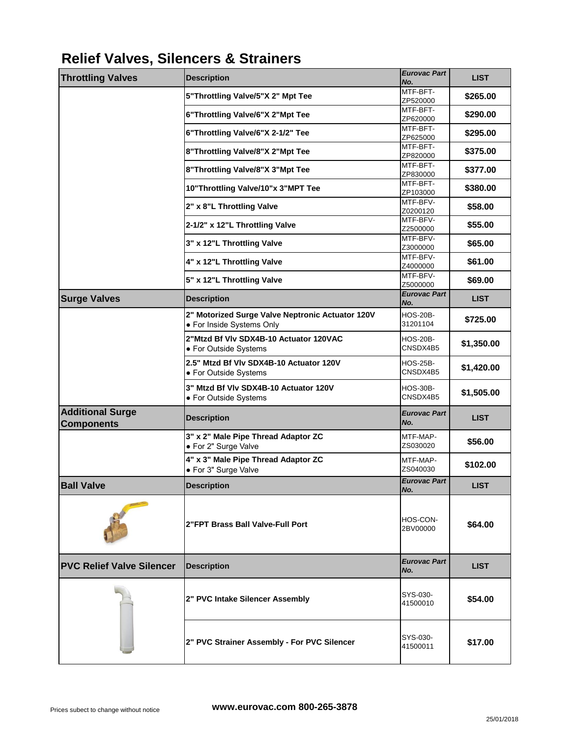# **Relief Valves, Silencers & Strainers**

| <b>Throttling Valves</b>                     | <b>Description</b>                                              | <b>Eurovac Part</b>         |
|----------------------------------------------|-----------------------------------------------------------------|-----------------------------|
|                                              |                                                                 | No.<br>MTF-BFT-             |
|                                              | 5"Throttling Valve/5"X 2" Mpt Tee                               | ZP520000                    |
|                                              | 6"Throttling Valve/6"X 2"Mpt Tee                                | MTF-BFT-<br>ZP620000        |
|                                              | 6"Throttling Valve/6"X 2-1/2" Tee                               | MTF-BFT-                    |
|                                              |                                                                 | ZP625000<br>MTF-BFT-        |
|                                              | 8"Throttling Valve/8"X 2"Mpt Tee                                | ZP820000                    |
|                                              | 8"Throttling Valve/8"X 3"Mpt Tee                                | MTF-BFT-<br>ZP830000        |
|                                              | 10"Throttling Valve/10"x 3"MPT Tee                              | MTF-BFT-<br>ZP103000        |
|                                              | 2" x 8"L Throttling Valve                                       | MTF-BFV-<br>Z0200120        |
|                                              | 2-1/2" x 12"L Throttling Valve                                  | MTF-BFV-<br>Z2500000        |
|                                              | 3" x 12"L Throttling Valve                                      | MTF-BFV-<br>Z3000000        |
|                                              |                                                                 | MTF-BFV-                    |
|                                              | 4" x 12"L Throttling Valve                                      | Z4000000                    |
|                                              | 5" x 12"L Throttling Valve                                      | MTF-BFV-<br>Z5000000        |
| <b>Surge Valves</b>                          | <b>Description</b>                                              | <b>Eurovac Part</b><br>No.  |
|                                              | 2" Motorized Surge Valve Neptronic Actuator 120V                | <b>HOS-20B-</b>             |
|                                              | • For Inside Systems Only                                       | 31201104                    |
|                                              | 2"Mtzd Bf VIv SDX4B-10 Actuator 120VAC<br>• For Outside Systems | <b>HOS-20B-</b><br>CNSDX4B5 |
|                                              | 2.5" Mtzd Bf VIv SDX4B-10 Actuator 120V                         | <b>HOS-25B-</b>             |
|                                              | • For Outside Systems                                           | CNSDX4B5                    |
|                                              | 3" Mtzd Bf VIv SDX4B-10 Actuator 120V<br>• For Outside Systems  | <b>HOS-30B-</b><br>CNSDX4B5 |
| <b>Additional Surge</b><br><b>Components</b> | <b>Description</b>                                              | <b>Eurovac Part</b><br>No.  |
|                                              | 3" x 2" Male Pipe Thread Adaptor ZC<br>• For 2" Surge Valve     | MTF-MAP-<br>ZS030020        |
|                                              | 4" x 3" Male Pipe Thread Adaptor ZC                             | MTF-MAP-<br>ZS040030        |
|                                              | · For 3" Surge Valve                                            | <b>Eurovac Part</b>         |
| <b>Ball Valve</b>                            | <b>Description</b>                                              | No.                         |
|                                              | 2"FPT Brass Ball Valve-Full Port                                | HOS-CON-<br>2BV00000        |
| <b>PVC Relief Valve Silencer</b>             | <b>Description</b>                                              | <b>Eurovac Part</b><br>No.  |
|                                              | 2" PVC Intake Silencer Assembly                                 | SYS-030-<br>41500010        |
|                                              | 2" PVC Strainer Assembly - For PVC Silencer                     | SYS-030-<br>41500011        |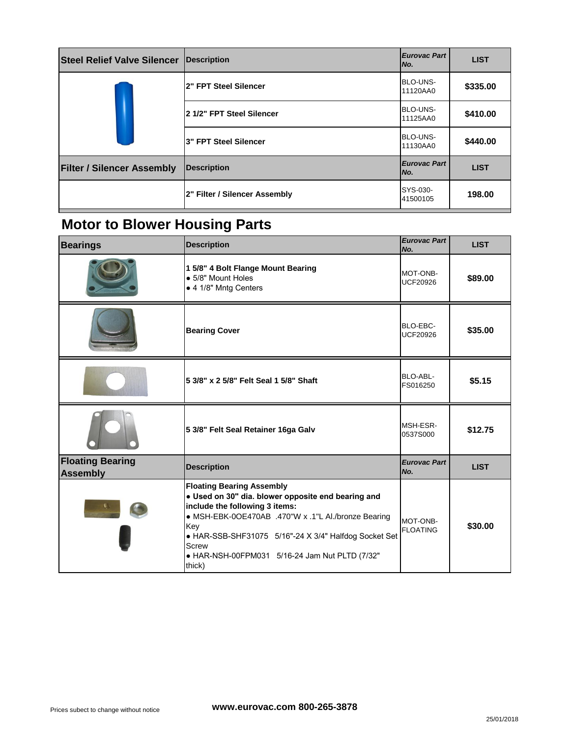| <b>Steel Relief Valve Silencer</b> | Description                   | <b>Eurovac Part</b><br>No.  |
|------------------------------------|-------------------------------|-----------------------------|
|                                    | 2" FPT Steel Silencer         | <b>BLO-UNS-</b><br>11120AA0 |
|                                    | 2 1/2" FPT Steel Silencer     | <b>BLO-UNS-</b><br>11125AA0 |
|                                    | 3" FPT Steel Silencer         | <b>BLO-UNS-</b><br>11130AA0 |
| <b>Filter / Silencer Assembly</b>  | <b>Description</b>            | <b>Eurovac Part</b><br>No.  |
|                                    | 2" Filter / Silencer Assembly | SYS-030-<br>41500105        |

# **Motor to Blower Housing Parts**

| <b>Bearings</b>                            | <b>Description</b>                                                                                                                                                                                                                                                                                                   | <b>Eurovac Part</b><br>No.  |
|--------------------------------------------|----------------------------------------------------------------------------------------------------------------------------------------------------------------------------------------------------------------------------------------------------------------------------------------------------------------------|-----------------------------|
|                                            | 1 5/8" 4 Bolt Flange Mount Bearing<br>• 5/8" Mount Holes<br>• 4 1/8" Mntg Centers                                                                                                                                                                                                                                    | MOT-ONB-<br><b>UCF20926</b> |
|                                            | <b>Bearing Cover</b>                                                                                                                                                                                                                                                                                                 | BLO-EBC-<br><b>UCF20926</b> |
|                                            | 5 3/8" x 2 5/8" Felt Seal 1 5/8" Shaft                                                                                                                                                                                                                                                                               | BLO-ABL-<br>FS016250        |
|                                            | 5 3/8" Felt Seal Retainer 16ga Galv                                                                                                                                                                                                                                                                                  | MSH-ESR-<br>0537S000        |
| <b>Floating Bearing</b><br><b>Assembly</b> | <b>Description</b>                                                                                                                                                                                                                                                                                                   | <b>Eurovac Part</b><br>No.  |
|                                            | <b>Floating Bearing Assembly</b><br>· Used on 30" dia. blower opposite end bearing and<br>include the following 3 items:<br>● MSH-EBK-0OE470AB .470"W x .1"L Al./bronze Bearing<br>Key<br>• HAR-SSB-SHF31075 5/16"-24 X 3/4" Halfdog Socket Set<br>Screw<br>• HAR-NSH-00FPM031 5/16-24 Jam Nut PLTD (7/32"<br>thick) | MOT-ONB-<br><b>FLOATING</b> |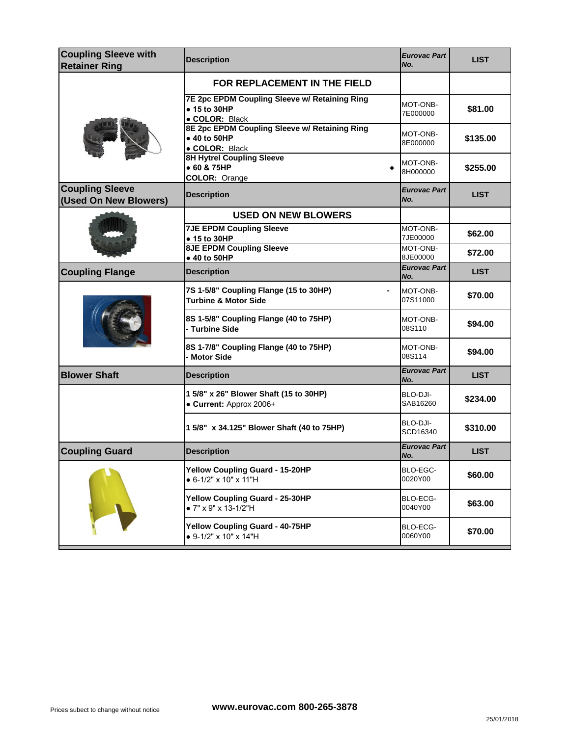| <b>Coupling Sleeve with</b><br><b>Retainer Ring</b> | <b>Description</b>                                                              | <b>Eurovac Part</b><br>No. |
|-----------------------------------------------------|---------------------------------------------------------------------------------|----------------------------|
|                                                     | FOR REPLACEMENT IN THE FIELD                                                    |                            |
|                                                     | 7E 2pc EPDM Coupling Sleeve w/ Retaining Ring<br>• 15 to 30HP<br>· COLOR: Black | MOT-ONB-<br>7E000000       |
|                                                     | 8E 2pc EPDM Coupling Sleeve w/ Retaining Ring<br>• 40 to 50HP<br>· COLOR: Black | MOT-ONB-<br>8E000000       |
|                                                     | <b>8H Hytrel Coupling Sleeve</b><br>• 60 & 75HP<br>COLOR: Orange                | MOT-ONB-<br>8H000000       |
| <b>Coupling Sleeve</b><br>(Used On New Blowers)     | <b>Description</b>                                                              | <b>Eurovac Part</b><br>No. |
|                                                     | <b>USED ON NEW BLOWERS</b>                                                      |                            |
|                                                     | <b>7JE EPDM Coupling Sleeve</b><br>• 15 to 30HP                                 | MOT-ONB-<br>7JE00000       |
|                                                     | <b>8JE EPDM Coupling Sleeve</b><br>• 40 to 50HP                                 | MOT-ONB-<br>8JE00000       |
| <b>Coupling Flange</b>                              | <b>Description</b>                                                              | <b>Eurovac Part</b><br>No. |
|                                                     | 7S 1-5/8" Coupling Flange (15 to 30HP)<br><b>Turbine &amp; Motor Side</b>       | MOT-ONB-<br>07S11000       |
|                                                     | 8S 1-5/8" Coupling Flange (40 to 75HP)<br>- Turbine Side                        | MOT-ONB-<br>08S110         |
|                                                     | 8S 1-7/8" Coupling Flange (40 to 75HP)<br>- Motor Side                          | MOT-ONB-<br>08S114         |
| <b>Blower Shaft</b>                                 | <b>Description</b>                                                              | <b>Eurovac Part</b><br>No. |
|                                                     | 1 5/8" x 26" Blower Shaft (15 to 30HP)<br>• Current: Approx 2006+               | BLO-DJI-<br>SAB16260       |
|                                                     | 1 5/8" x 34.125" Blower Shaft (40 to 75HP)                                      | BLO-DJI-<br>SCD16340       |
| <b>Coupling Guard</b>                               | <b>Description</b>                                                              | Eurovac Part<br>No.        |
|                                                     | Yellow Coupling Guard - 15-20HP<br>• 6-1/2" x 10" x 11"H                        | BLO-EGC-<br>0020Y00        |
|                                                     | Yellow Coupling Guard - 25-30HP<br>• 7" x 9" x 13-1/2"H                         | BLO-ECG-<br>0040Y00        |
|                                                     | Yellow Coupling Guard - 40-75HP<br>• 9-1/2" x 10" x 14"H                        | BLO-ECG-<br>0060Y00        |
|                                                     |                                                                                 |                            |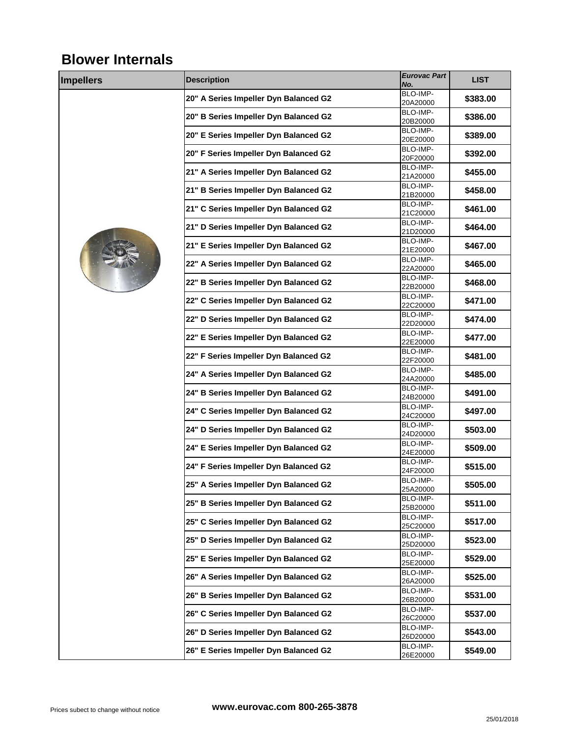# **Blower Internals**

| <b>Impellers</b> | <b>Description</b>                    | <b>Eurovac Part</b>  |
|------------------|---------------------------------------|----------------------|
|                  |                                       | No.                  |
|                  | 20" A Series Impeller Dyn Balanced G2 | BLO-IMP-<br>20A20000 |
|                  |                                       | BLO-IMP-             |
|                  | 20" B Series Impeller Dyn Balanced G2 | 20B20000             |
|                  | 20" E Series Impeller Dyn Balanced G2 | BLO-IMP-             |
|                  |                                       | 20E20000             |
|                  | 20" F Series Impeller Dyn Balanced G2 | BLO-IMP-<br>20F20000 |
|                  |                                       | BLO-IMP-             |
|                  | 21" A Series Impeller Dyn Balanced G2 | 21A20000             |
|                  | 21" B Series Impeller Dyn Balanced G2 | BLO-IMP-             |
|                  |                                       | 21B20000<br>BLO-IMP- |
|                  | 21" C Series Impeller Dyn Balanced G2 | 21C20000             |
|                  | 21" D Series Impeller Dyn Balanced G2 | BLO-IMP-             |
|                  |                                       | 21D20000             |
|                  | 21" E Series Impeller Dyn Balanced G2 | BLO-IMP-<br>21E20000 |
|                  |                                       | BLO-IMP-             |
|                  | 22" A Series Impeller Dyn Balanced G2 | 22A20000             |
|                  | 22" B Series Impeller Dyn Balanced G2 | BLO-IMP-             |
|                  |                                       | 22B20000<br>BLO-IMP- |
|                  | 22" C Series Impeller Dyn Balanced G2 | 22C20000             |
|                  | 22" D Series Impeller Dyn Balanced G2 | BLO-IMP-             |
|                  |                                       | 22D20000             |
|                  | 22" E Series Impeller Dyn Balanced G2 | BLO-IMP-<br>22E20000 |
|                  |                                       | BLO-IMP-             |
|                  | 22" F Series Impeller Dyn Balanced G2 | 22F20000             |
|                  | 24" A Series Impeller Dyn Balanced G2 | BLO-IMP-             |
|                  |                                       | 24A20000<br>BLO-IMP- |
|                  | 24" B Series Impeller Dyn Balanced G2 | 24B20000             |
|                  | 24" C Series Impeller Dyn Balanced G2 | BLO-IMP-             |
|                  |                                       | 24C20000             |
|                  | 24" D Series Impeller Dyn Balanced G2 | BLO-IMP-<br>24D20000 |
|                  |                                       | BLO-IMP-             |
|                  | 24" E Series Impeller Dyn Balanced G2 | 24E20000             |
|                  | 24" F Series Impeller Dyn Balanced G2 | BLO-IMP-             |
|                  |                                       | 24F20000<br>BLO-IMP- |
|                  | 25" A Series Impeller Dyn Balanced G2 | 25A20000             |
|                  | 25" B Series Impeller Dyn Balanced G2 | BLO-IMP-             |
|                  |                                       | 25B20000             |
|                  | 25" C Series Impeller Dyn Balanced G2 | BLO-IMP-<br>25C20000 |
|                  |                                       | BLO-IMP-             |
|                  | 25" D Series Impeller Dyn Balanced G2 | 25D20000             |
|                  | 25" E Series Impeller Dyn Balanced G2 | BLO-IMP-             |
|                  |                                       | 25E20000<br>BLO-IMP- |
|                  | 26" A Series Impeller Dyn Balanced G2 | 26A20000             |
|                  | 26" B Series Impeller Dyn Balanced G2 | BLO-IMP-             |
|                  |                                       | 26B20000             |
|                  | 26" C Series Impeller Dyn Balanced G2 | BLO-IMP-<br>26C20000 |
|                  |                                       | BLO-IMP-             |
|                  | 26" D Series Impeller Dyn Balanced G2 | 26D20000             |
|                  | 26" E Series Impeller Dyn Balanced G2 | BLO-IMP-             |
|                  |                                       | 26E20000             |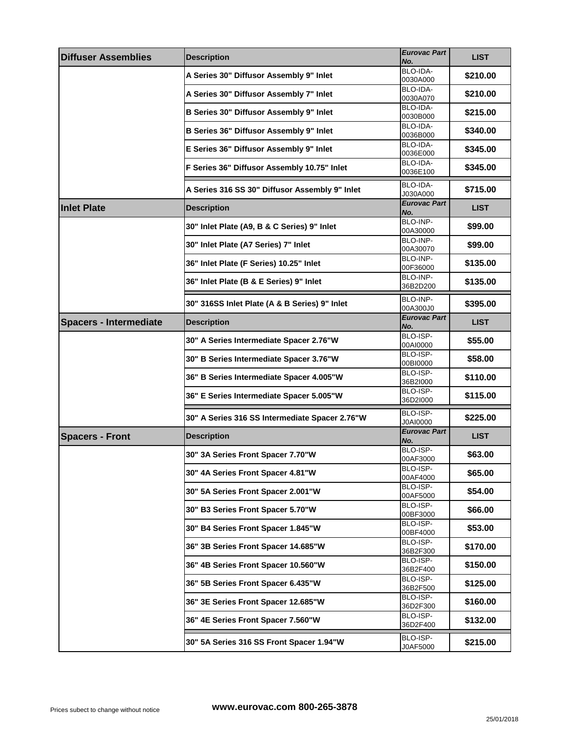| <b>Diffuser Assemblies</b>    | <b>Description</b>                             | Eurovac Part<br>No.  |
|-------------------------------|------------------------------------------------|----------------------|
|                               | A Series 30" Diffusor Assembly 9" Inlet        | BLO-IDA-<br>0030A000 |
|                               | A Series 30" Diffusor Assembly 7" Inlet        | BLO-IDA-             |
|                               | B Series 30" Diffusor Assembly 9" Inlet        | 0030A070<br>BLO-IDA- |
|                               |                                                | 0030B000<br>BLO-IDA- |
|                               | B Series 36" Diffusor Assembly 9" Inlet        | 0036B000             |
|                               | E Series 36" Diffusor Assembly 9" Inlet        | BLO-IDA-<br>0036E000 |
|                               | F Series 36" Diffusor Assembly 10.75" Inlet    | BLO-IDA-<br>0036E100 |
|                               | A Series 316 SS 30" Diffusor Assembly 9" Inlet | BLO-IDA-<br>J030A000 |
| <b>Inlet Plate</b>            | <b>Description</b>                             | Eurovac Part<br>No.  |
|                               | 30" Inlet Plate (A9, B & C Series) 9" Inlet    | BLO-INP-<br>00A30000 |
|                               | 30" Inlet Plate (A7 Series) 7" Inlet           | BLO-INP-             |
|                               |                                                | 00A30070<br>BLO-INP- |
|                               | 36" Inlet Plate (F Series) 10.25" Inlet        | 00F36000             |
|                               | 36" Inlet Plate (B & E Series) 9" Inlet        | BLO-INP-<br>36B2D200 |
|                               |                                                | BLO-INP-             |
|                               | 30" 316SS Inlet Plate (A & B Series) 9" Inlet  | 00A300J0             |
| <b>Spacers - Intermediate</b> | <b>Description</b>                             | Eurovac Part<br>No.  |
|                               | 30" A Series Intermediate Spacer 2.76"W        | BLO-ISP-<br>00AI0000 |
|                               | 30" B Series Intermediate Spacer 3.76"W        | BLO-ISP-             |
|                               | 36" B Series Intermediate Spacer 4.005"W       | 00BI0000<br>BLO-ISP- |
|                               |                                                | 36B2I000<br>BLO-ISP- |
|                               | 36" E Series Intermediate Spacer 5.005"W       | 36D2I000             |
|                               | 30" A Series 316 SS Intermediate Spacer 2.76"W | BLO-ISP-<br>J0A10000 |
| <b>Spacers - Front</b>        | <b>Description</b>                             | Eurovac Part<br>No.  |
|                               | 30" 3A Series Front Spacer 7.70"W              | BLO-ISP-             |
|                               | 30" 4A Series Front Spacer 4.81"W              | 00AF3000<br>BLO-ISP- |
|                               |                                                | 00AF4000<br>BLO-ISP- |
|                               | 30" 5A Series Front Spacer 2.001"W             | 00AF5000<br>BLO-ISP- |
|                               | 30" B3 Series Front Spacer 5.70"W              | 00BF3000             |
|                               | 30" B4 Series Front Spacer 1.845"W             | BLO-ISP-<br>00BF4000 |
|                               | 36" 3B Series Front Spacer 14.685"W            | BLO-ISP-             |
|                               | 36" 4B Series Front Spacer 10.560"W            | 36B2F300<br>BLO-ISP- |
|                               |                                                | 36B2F400<br>BLO-ISP- |
|                               | 36" 5B Series Front Spacer 6.435"W             | 36B2F500             |
|                               | 36" 3E Series Front Spacer 12.685"W            | BLO-ISP-<br>36D2F300 |
|                               | 36" 4E Series Front Spacer 7.560"W             | BLO-ISP-<br>36D2F400 |
|                               | 30" 5A Series 316 SS Front Spacer 1.94"W       | BLO-ISP-             |
|                               |                                                | J0AF5000             |